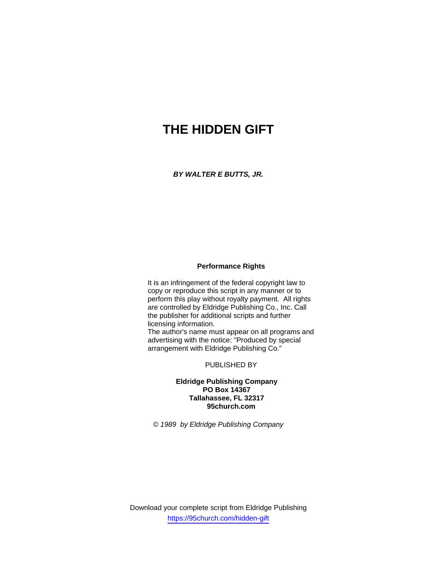# **THE HIDDEN GIFT**

*BY WALTER E BUTTS, JR.* 

#### **Performance Rights**

It is an infringement of the federal copyright law to copy or reproduce this script in any manner or to perform this play without royalty payment. All rights are controlled by Eldridge Publishing Co., Inc. Call the publisher for additional scripts and further licensing information.

The author's name must appear on all programs and advertising with the notice: "Produced by special arrangement with Eldridge Publishing Co."

PUBLISHED BY

# **Eldridge Publishing Company PO Box 14367 Tallahassee, FL 32317 95church.com**

*© 1989 by Eldridge Publishing Company*

Download your complete script from Eldridge Publishing https://95church.com/hidden-gift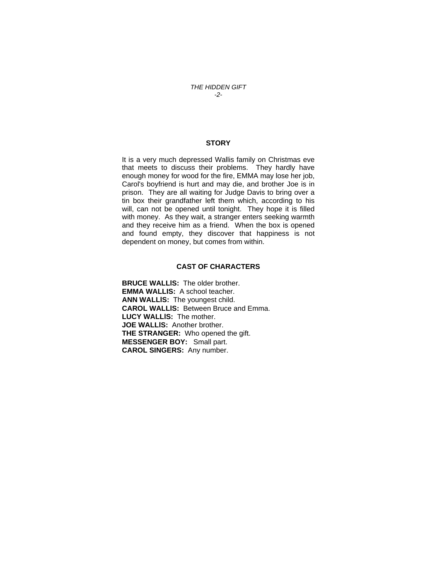*THE HIDDEN GIFT -2-* 

# **STORY**

It is a very much depressed Wallis family on Christmas eve that meets to discuss their problems. They hardly have enough money for wood for the fire, EMMA may lose her job, Carol's boyfriend is hurt and may die, and brother Joe is in prison. They are all waiting for Judge Davis to bring over a tin box their grandfather left them which, according to his will, can not be opened until tonight. They hope it is filled with money. As they wait, a stranger enters seeking warmth and they receive him as a friend. When the box is opened and found empty, they discover that happiness is not dependent on money, but comes from within.

# **CAST OF CHARACTERS**

**BRUCE WALLlS:** The older brother. **EMMA WALLIS:** A school teacher. **ANN WALLlS:** The youngest child. **CAROL WALLlS:** Between Bruce and Emma. **LUCY WALLlS:** The mother. **JOE WALLlS:** Another brother. **THE STRANGER:** Who opened the gift. **MESSENGER BOY:** Small part. **CAROL SINGERS:** Any number.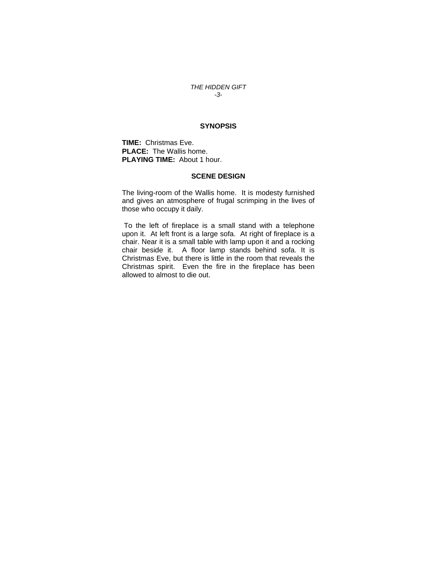#### *THE HIDDEN GIFT -3-*

#### **SYNOPSIS**

**TIME:** Christmas Eve. **PLACE:** The Wallis home. **PLAYING TIME:** About 1 hour.

### **SCENE DESIGN**

The living-room of the Wallis home. It is modesty furnished and gives an atmosphere of frugal scrimping in the lives of those who occupy it daily.

 To the left of fireplace is a small stand with a telephone upon it. At left front is a large sofa. At right of fireplace is a chair. Near it is a small table with lamp upon it and a rocking chair beside it. A floor lamp stands behind sofa. It is Christmas Eve, but there is little in the room that reveals the Christmas spirit. Even the fire in the fireplace has been allowed to almost to die out.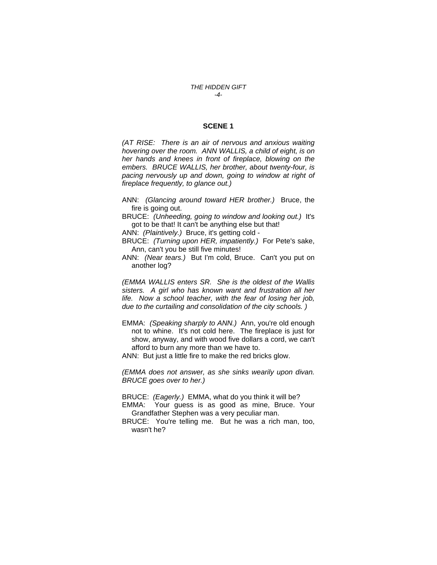#### *THE HIDDEN GIFT -4-*

#### **SCENE 1**

*(AT RISE: There is an air of nervous and anxious waiting hovering over the room. ANN WALLIS, a child of eight, is on her hands and knees in front of fireplace, blowing on the embers. BRUCE WALLIS, her brother, about twenty-four, is pacing nervously up and down, going to window at right of fireplace frequently, to glance out.)* 

- ANN: *(Glancing around toward HER brother.)* Bruce, the fire is going out.
- BRUCE: *(Unheeding, going to window and looking out.)* It's got to be that! It can't be anything else but that!
- ANN: *(Plaintively.)* Bruce, it's getting cold -
- BRUCE: *(Turning upon HER, impatiently.)* For Pete's sake, Ann, can't you be still five minutes!
- ANN: *(Near tears.)* But I'm cold, Bruce. Can't you put on another log?

*(EMMA WALLIS enters SR. She is the oldest of the Wallis sisters. A girl who has known want and frustration all her life. Now a school teacher, with the fear of losing her job, due to the curtailing and consolidation of the city schools. )* 

- EMMA: *(Speaking sharply to ANN.)* Ann, you're old enough not to whine. It's not cold here. The fireplace is just for show, anyway, and with wood five dollars a cord, we can't afford to burn any more than we have to.
- ANN: But just a little fire to make the red bricks glow.

*(EMMA does not answer, as she sinks wearily upon divan. BRUCE goes over to her.)* 

BRUCE: *(Eagerly.)* EMMA, what do you think it will be?

- EMMA: Your guess is as good as mine, Bruce. Your Grandfather Stephen was a very peculiar man.
- BRUCE: You're telling me. But he was a rich man, too, wasn't he?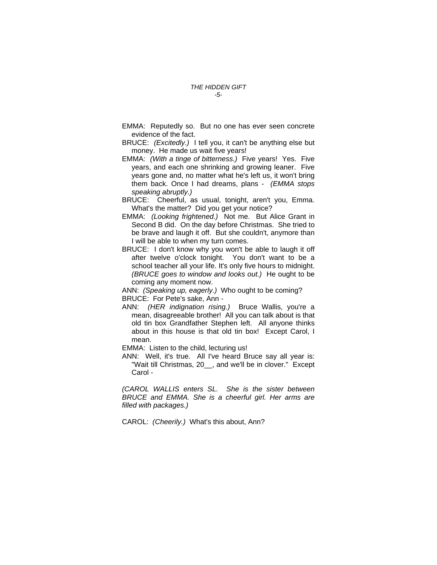- EMMA: Reputedly so. But no one has ever seen concrete evidence of the fact.
- BRUCE: *(Excitedly.)* I tell you, it can't be anything else but money. He made us wait five years!
- EMMA: *(With a tinge of bitterness.)* Five years! Yes. Five years, and each one shrinking and growing leaner. Five years gone and, no matter what he's left us, it won't bring them back. Once I had dreams, plans - *(EMMA stops speaking abruptly.)*
- BRUCE: Cheerful, as usual, tonight, aren't you, Emma. What's the matter? Did you get your notice?
- EMMA: *(Looking frightened.)* Not me. But Alice Grant in Second B did. On the day before Christmas. She tried to be brave and laugh it off. But she couldn't, anymore than I will be able to when my turn comes.
- BRUCE: I don't know why you won't be able to laugh it off after twelve o'clock tonight. You don't want to be a school teacher all your life. It's only five hours to midnight. *(BRUCE goes to window and looks out.)* He ought to be coming any moment now.

ANN: *(Speaking up, eagerly.)* Who ought to be coming? BRUCE: For Pete's sake, Ann -

ANN: *(HER indignation rising.)* Bruce Wallis, you're a mean, disagreeable brother! All you can talk about is that old tin box Grandfather Stephen left. All anyone thinks about in this house is that old tin box! Except Carol, I mean.

EMMA: Listen to the child, lecturing us!

ANN: Well, it's true. All I've heard Bruce say all year is: "Wait till Christmas, 20\_\_, and we'll be in clover." Except Carol -

*(CAROL WALLIS enters SL. She is the sister between BRUCE and EMMA. She is a cheerful girl. Her arms are filled with packages.)* 

CAROL: *(Cheerily.)* What's this about, Ann?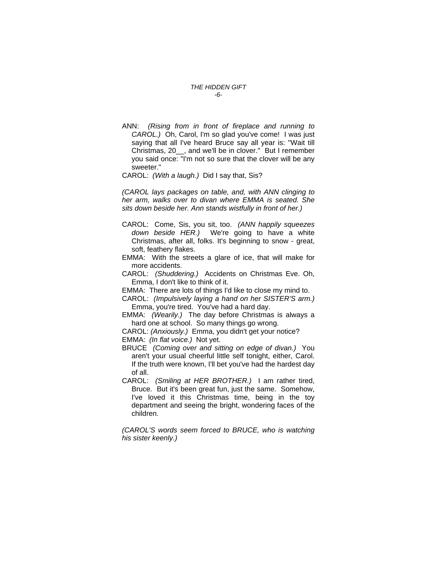#### *THE HIDDEN GIFT -6-*

ANN: *(Rising from in front of fireplace and running to CAROL.)* Oh, Carol, I'm so glad you've come! I was just saying that all I've heard Bruce say all year is: "Wait till Christmas, 20\_\_, and we'll be in clover."But I remember you said once: "I'm not so sure that the clover will be any sweeter."

#### CAROL: *(With a laugh.)* Did I say that, Sis?

*(CAROL lays packages on table, and, with ANN clinging to her arm, walks over to divan where EMMA is seated. She sits down beside her. Ann stands wistfully in front of her.)* 

- CAROL: Come, Sis, you sit, too. *(ANN happily squeezes down beside HER.)* We're going to have a white Christmas, after all, folks. It's beginning to snow - great, soft, feathery flakes.
- EMMA: With the streets a glare of ice, that will make for more accidents.
- CAROL: *(Shuddering.)* Accidents on Christmas Eve. Oh, Emma, I don't like to think of it.
- EMMA: There are lots of things I'd like to close my mind to.
- CAROL: *(Impulsively laying a hand on her SISTER'S arm.)*  Emma, you're tired. You've had a hard day.
- EMMA: *(Wearily.)* The day before Christmas is always a hard one at school. So many things go wrong.

CAROL: *(Anxiously.)* Emma, you didn't get your notice? EMMA: *(In flat voice.)* Not yet.

- BRUCE *(Coming over and sitting on edge of divan.)* You aren't your usual cheerful little self tonight, either, Carol. If the truth were known, I'll bet you've had the hardest day of all.
- CAROL: *(Smiling at HER BROTHER.)* I am rather tired, Bruce. But it's been great fun, just the same. Somehow, I've loved it this Christmas time, being in the toy department and seeing the bright, wondering faces of the children.

*(CAROL'S words seem forced to BRUCE, who is watching his sister keenly.)*